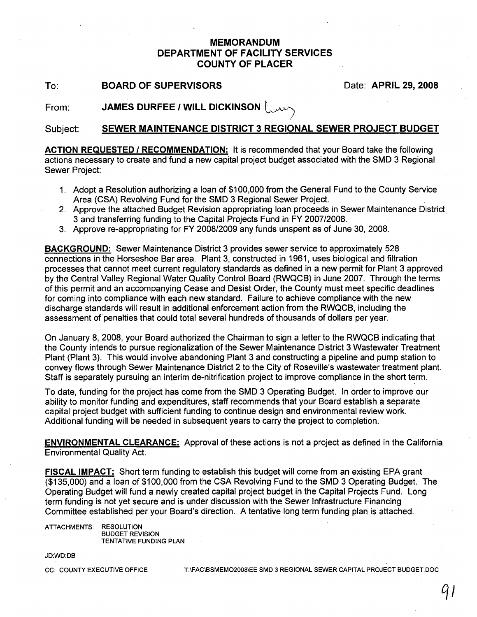## **MEMORANDUM DEPARTMENT OF FACILITY SERVICES COUNTY OF PLACER**

To: **BOARD OF SUPERVISORS** Date: **APRIL** 29, **2008**

From: **JAMES DURFEE / WILL DICKINSON** 

#### Subject: **SEWER MAINTENANCE DISTRICT 3 REGIONAL SEWER PROJECT BUDGET**

I

**ACTION REQUESTED I RECOMMENDATION:** It is recommended that your Board take the following actions necessary to create and fund a new capital project budget associated with the SMD 3 Regional Sewer Project:

- 1. Adopt a Resolution authorizing a loan of \$100,000 from the General Fund to the County Service Area (CSA) Revolving Fund for the SMD 3 Regional Sewer Project.
- 2. Approve the attached BUdget Revision appropriating loan proceeds in Sewer Maintenance District 3 and transferring funding to the Capital Projects Fund in FY *2007/2008.*
- 3. Approve re-appropriating for FY *2008/2009* any funds unspent as of June 30, 2008.

**BACKGROUND:** Sewer Maintenance District 3 provides sewer service to approximately 528 connections in the Horseshoe Bar area. Plant 3, constructed in 1961, uses biological and filtration processes that cannot meet current regulatory standards as defined in a new permit for Plant 3 approved by the Central Valley Regional Water Quality Control Board (RWQCB) in June 2007. Through the terms of this permit and an accompanying Cease and Desist Order, the County must meet specific deadlines for coming into compliance with each new standard. Failure to achieve compliance with the new discharge standards will result in additional enforcement action from the RWQCB, including the assessment of penalties that could total several hundreds of thousands of dollars per year.

On January 8, 2008, your Board authorized the Chairman to sign a letter to the RWQCB indicating that the County intends to pursue regionalization of the Sewer Maintenance District 3 Wastewater Treatment Plant (Plant 3). This would involve abandoning Plant 3 and constructing a pipeline and pump station to convey flows through Sewer Maintenance District 2 to the City of Roseville's wastewater treatment plant. Staff is separately pursuing an interim de-nitrification project to improve compliance in the short term.

To date, funding for the project has come from the SMD 3 Operating Budget. In order to improve our ability to monitor funding and expenditures, staff recommends that your Board establish a separate capital project budget with sufficient funding to continue design and environmental review work. Additional funding will be needed in subsequent years to carry the project to completion.

**ENVIRONMENTAL CLEARANCE:** Approval of these actions is not a project as defined in the California Environmental Quality Act.

**FISCAL IMPACT:** Short term funding to establish this budget will come from an existing EPA grant (\$135,000) and a loan of \$100,000 from the CSA Revolving Fund to the SMD 3 Operating Budget. The Operating Budget will fund a newly created capital project budget in the Capital Projects Fund. Long term funding is not yet secure and is under discussion with the Sewer Infrastructure Financing Committee established per your Board's direction. A tentative long term funding plan is attached.

ATTACHMENTS: RESOLUTION BUDGET REVISION TENTATIVE FUNDING PLAN

JDWD:DB

CC: COUNTY EXECUTIVE OFFICE T:\FAC\BSMEMO2008\EE SMD 3 REGIONAL SEWER CAPITAL PROJECT BUDGET.DOC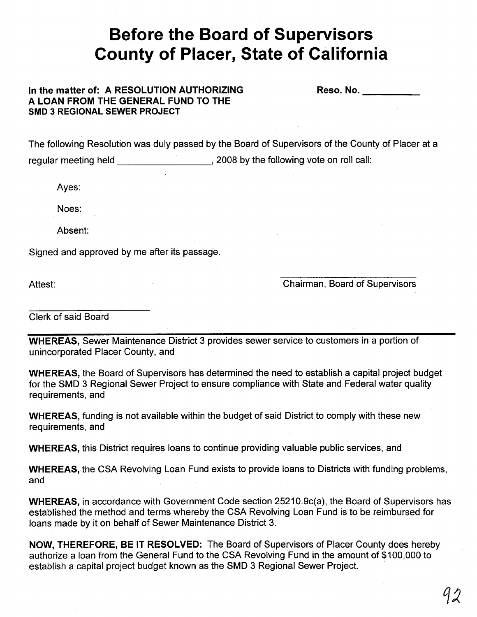# **Before the Board of Supervisors County of Placer, State of California**

### **In the matter of: A RESOLUTION AUTHORIZING A LOAN FROM THE GENERAL FUND TO THE SMD 3 REGIONAL SEWER PROJECT**

Reso. No. **Example** 

The following Resolution was duly passed by the Board of Supervisors of the County of Placer at a regular meeting held  $\qquad \qquad$ , 2008 by the following vote on roll call:

Ayes:

Noes:

Absent:

Signed and approved by me after its passage.

Attest:

Chairman, Board of Supervisors

Clerk of said Board

**WHEREAS,** Sewer Maintenance District 3 provides sewer service to customers in a portion of unincorporated Placer County, and

**WHEREAS,** the Board of Supervisors has determined the need to establish a capital project budget for the SMD 3 Regional Sewer Project to ensure compliance with State and Federal water quality requirements, and

**WHEREAS,** funding is not available within the budget of said District to comply with these new requirements, and

**WHEREAS,** this District requires loans to continue providing valuable public services, and

**WHEREAS,** the CSA Revolving Loan Fund exists to provide loans to Districts with funding problems, and

**WHEREAS,** in accordance with Government Code section 25210.9c(a), the Board of Supervisors has established the method and terms whereby the CSA Revolving Loan Fund is to be reimbursed for loans made by it on behalf of Sewer Maintenance District 3.

**NOW, THEREFORE, BE IT RESOLVED:** The Board of Supervisors of Placer County does hereby authorize a loan from the General Fund to the CSA Revolving Fund in the amount of \$100,000 to establish a capital project budget known as the SMD 3 Regional Sewer Project.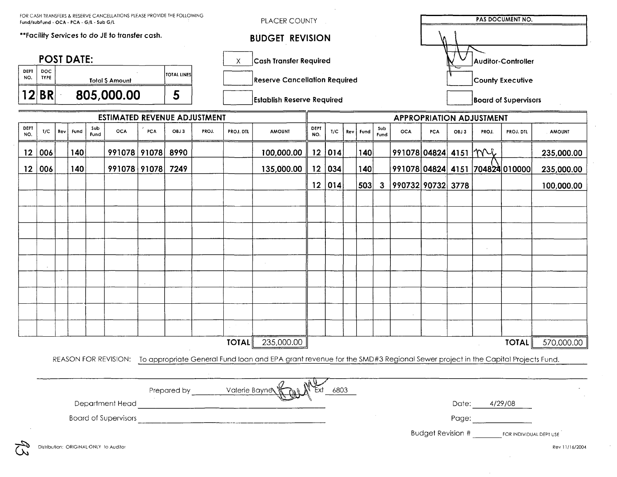| FOR CASH TRANSFERS & RESERVE CANCELLATIONS PLEASE PROVIDE THE FOLLOWING<br>Fund/subFund - OCA - PCA - G/L - Sub G/L                                                                                                                                           |                    |     |                                              |             |                                        |     |             |       | PLACER COUNTY                        |                                                                                                                                                |             |        |                                 |      |                             | <b>PAS DOCUMENT NO.</b>                                                                                                         |            |      |       |                                                   |                |
|---------------------------------------------------------------------------------------------------------------------------------------------------------------------------------------------------------------------------------------------------------------|--------------------|-----|----------------------------------------------|-------------|----------------------------------------|-----|-------------|-------|--------------------------------------|------------------------------------------------------------------------------------------------------------------------------------------------|-------------|--------|---------------------------------|------|-----------------------------|---------------------------------------------------------------------------------------------------------------------------------|------------|------|-------|---------------------------------------------------|----------------|
| **Facility Services to do JE to transfer cash.                                                                                                                                                                                                                |                    |     |                                              |             |                                        |     |             |       | <b>BUDGET REVISION</b>               |                                                                                                                                                |             |        |                                 |      |                             |                                                                                                                                 |            |      |       |                                                   |                |
| <b>POST DATE:</b>                                                                                                                                                                                                                                             |                    |     |                                              |             |                                        |     |             |       | <b>Cash Transfer Required</b><br>Х   |                                                                                                                                                |             |        |                                 |      |                             | <b>Auditor-Controller</b>                                                                                                       |            |      |       |                                                   |                |
| <b>DEPT</b><br>NO.                                                                                                                                                                                                                                            | DOC<br><b>TYPE</b> |     | <b>TOTAL LINES</b><br><b>Total \$ Amount</b> |             |                                        |     |             |       | <b>Reserve Cancellation Required</b> |                                                                                                                                                |             |        |                                 |      |                             | County Executive                                                                                                                |            |      |       |                                                   |                |
|                                                                                                                                                                                                                                                               | 12 BR              |     | 805,000.00<br>5                              |             |                                        |     |             |       | <b>Establish Reserve Required</b>    |                                                                                                                                                |             |        |                                 |      | <b>Board of Supervisors</b> |                                                                                                                                 |            |      |       |                                                   |                |
| <b>ESTIMATED REVENUE ADJUSTMENT</b>                                                                                                                                                                                                                           |                    |     |                                              |             |                                        |     |             |       |                                      |                                                                                                                                                |             |        | <b>APPROPRIATION ADJUSTMENT</b> |      |                             |                                                                                                                                 |            |      |       |                                                   |                |
| DEPT<br>NO.                                                                                                                                                                                                                                                   | 1/C                | Rev | Fund                                         | Sub<br>Fund | <b>OCA</b>                             | PCA | OBJ3        | PROJ. | <b>PROJ. DTL</b>                     | <b>AMOUNT</b>                                                                                                                                  | DEPT<br>NO. | T/C    | <b>Rev</b>                      | Fund | Sub<br>Fund                 | <b>OCA</b>                                                                                                                      | <b>FCA</b> | OBJ3 | PROJ. | PROJ. DTL                                         | <b>AMOUNT</b>  |
| 12                                                                                                                                                                                                                                                            | 006                |     | 140                                          |             | 991078 91078                           |     | 8990        |       |                                      | 100,000.00                                                                                                                                     | 12          | 014    |                                 | 140  |                             | 991078 04824  4151   MV                                                                                                         |            |      |       |                                                   | 235,000.00     |
| $12 \overline{ }$                                                                                                                                                                                                                                             | 006                |     | 140                                          |             | 991078 91078                           |     | 7249        |       |                                      | 135,000.00                                                                                                                                     |             | 12 034 |                                 | 140  |                             |                                                                                                                                 |            |      |       | 991078 04824 4151 704824 010000                   | 235,000.00     |
|                                                                                                                                                                                                                                                               |                    |     |                                              |             |                                        |     |             |       |                                      |                                                                                                                                                |             | 12 014 |                                 | 503  | $\mathbf{3}$                | 990732 90732 3778                                                                                                               |            |      |       |                                                   | 100,000.00     |
|                                                                                                                                                                                                                                                               |                    |     |                                              |             |                                        |     |             |       |                                      |                                                                                                                                                |             |        |                                 |      |                             |                                                                                                                                 |            |      |       |                                                   |                |
|                                                                                                                                                                                                                                                               |                    |     |                                              |             |                                        |     |             |       |                                      |                                                                                                                                                |             |        |                                 |      |                             |                                                                                                                                 |            |      |       |                                                   |                |
|                                                                                                                                                                                                                                                               |                    |     |                                              |             |                                        |     |             |       |                                      |                                                                                                                                                |             |        |                                 |      |                             |                                                                                                                                 |            |      |       |                                                   |                |
|                                                                                                                                                                                                                                                               |                    |     |                                              |             |                                        |     |             |       |                                      |                                                                                                                                                |             |        |                                 |      |                             |                                                                                                                                 |            |      |       |                                                   |                |
|                                                                                                                                                                                                                                                               |                    |     |                                              |             |                                        |     |             |       |                                      |                                                                                                                                                |             |        |                                 |      |                             |                                                                                                                                 |            |      |       |                                                   |                |
|                                                                                                                                                                                                                                                               |                    |     |                                              |             |                                        |     |             |       |                                      |                                                                                                                                                |             |        |                                 |      |                             |                                                                                                                                 |            |      |       |                                                   |                |
|                                                                                                                                                                                                                                                               |                    |     |                                              |             |                                        |     |             |       |                                      |                                                                                                                                                |             |        |                                 |      |                             |                                                                                                                                 |            |      |       |                                                   |                |
|                                                                                                                                                                                                                                                               |                    |     |                                              |             |                                        |     |             |       |                                      |                                                                                                                                                |             |        |                                 |      |                             |                                                                                                                                 |            |      |       |                                                   |                |
|                                                                                                                                                                                                                                                               |                    |     |                                              |             |                                        |     |             |       |                                      |                                                                                                                                                |             |        |                                 |      |                             |                                                                                                                                 |            |      |       |                                                   |                |
|                                                                                                                                                                                                                                                               |                    |     |                                              |             |                                        |     |             |       |                                      |                                                                                                                                                |             |        |                                 |      |                             |                                                                                                                                 |            |      |       |                                                   |                |
|                                                                                                                                                                                                                                                               |                    |     |                                              |             |                                        |     |             |       | <b>TOTAL</b>                         | 235,000.00                                                                                                                                     |             |        |                                 |      |                             |                                                                                                                                 |            |      |       | <b>TOTAL</b>                                      | 570,000.00     |
|                                                                                                                                                                                                                                                               |                    |     |                                              |             |                                        |     |             |       |                                      | REASON FOR REVISION: To appropriate General Fund loan and EPA grant revenue for the SMD#3 Regional Sewer project in the Capital Projects Fund. |             |        |                                 |      |                             |                                                                                                                                 |            |      |       |                                                   |                |
|                                                                                                                                                                                                                                                               |                    |     |                                              |             |                                        |     |             |       |                                      |                                                                                                                                                |             |        |                                 |      |                             |                                                                                                                                 |            |      |       |                                                   |                |
|                                                                                                                                                                                                                                                               |                    |     |                                              |             |                                        |     | Prepared by |       | Valerie Bayne                        |                                                                                                                                                |             | 6803   |                                 |      |                             |                                                                                                                                 |            |      |       |                                                   |                |
| Department Head and the contract of the contract of the contract of the contract of the contract of the contract of the contract of the contract of the contract of the contract of the contract of the contract of the contra<br><b>Board of Supervisors</b> |                    |     |                                              |             |                                        |     |             |       |                                      |                                                                                                                                                |             |        |                                 |      |                             | Date: 4/29/08<br>Page: and the state of the state of the state of the state of the state of the state of the state of the state |            |      |       |                                                   |                |
|                                                                                                                                                                                                                                                               |                    |     |                                              |             |                                        |     |             |       |                                      |                                                                                                                                                |             |        |                                 |      |                             |                                                                                                                                 |            |      |       |                                                   |                |
|                                                                                                                                                                                                                                                               |                    |     |                                              |             | Distribution: ORIGINAL ONLY to Auditor |     |             |       |                                      |                                                                                                                                                |             |        |                                 |      |                             |                                                                                                                                 |            |      |       | Budget Revision # _______ FOR INDIVIDUAL DEPT USE | Rev 11/16/2004 |

 $\mathcal{A}(\mathcal{A})$  and

 $\mathcal{A}^{\mathcal{A}}$